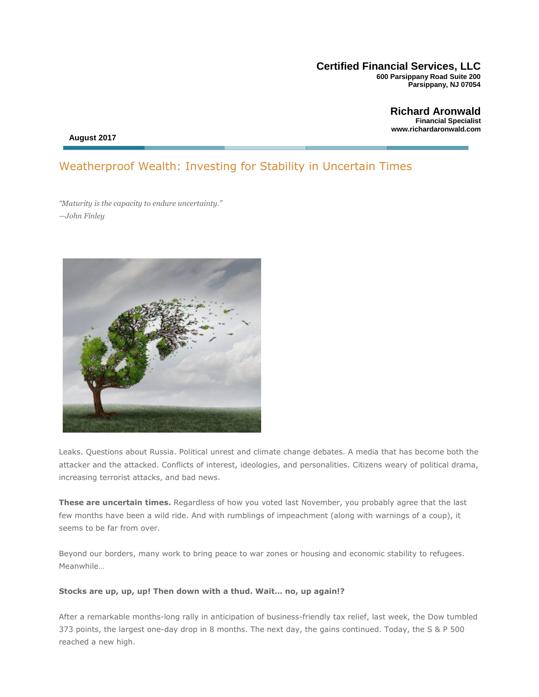#### **Certified Financial Services, LLC 600 Parsippany Road Suite 200 Parsippany, NJ 07054**

**Richard Aronwald Financial Specialist [www.richardaronwald.com](http://www.richardaronwald.com/)**

 **August 2017**

#### Weatherproof Wealth: Investing for Stability in Uncertain Times

*"Maturity is the capacity to endure uncertainty." —John Finley*



Leaks. Questions about Russia. Political unrest and climate change debates. A media that has become both the attacker and the attacked. Conflicts of interest, ideologies, and personalities. Citizens weary of political drama, increasing terrorist attacks, and bad news.

**These are uncertain times.** Regardless of how you voted last November, you probably agree that the last few months have been a wild ride. And with rumblings of impeachment (along with warnings of a coup), it seems to be far from over.

Beyond our borders, many work to bring peace to war zones or housing and economic stability to refugees. Meanwhile…

#### **Stocks are up, up, up! Then down with a thud. Wait… no, up again!?**

After a remarkable months-long rally in anticipation of business-friendly tax relief, last week, the Dow tumbled 373 points, the largest one-day drop in 8 months. The next day, the gains continued. Today, the S & P 500 reached a new high.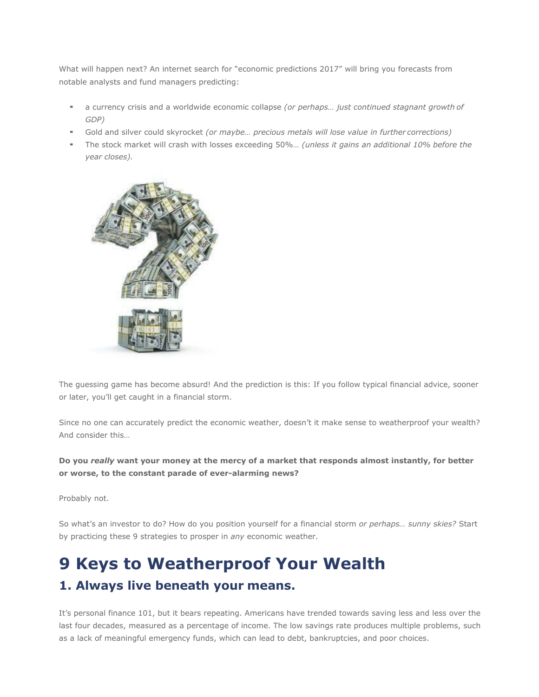What will happen next? An internet search for "economic predictions 2017" will bring you forecasts from notable analysts and fund managers predicting:

- a currency crisis and a worldwide economic collapse *(or perhaps... just continued stagnant growth* of *GDP)*
- Gold and silver could skyrocket *(or maybe... precious metals will lose value in further corrections)*
- The stock market will crash with losses exceeding 50%... *(unless it gains an additional 10% before the year closes).*



The guessing game has become absurd! And the prediction is this: If you follow typical financial advice, sooner or later, you'll get caught in a financial storm.

Since no one can accurately predict the economic weather, doesn't it make sense to weatherproof your wealth? And consider this…

**Do you** *really* **want your money at the mercy of a market that responds almost instantly, for better or worse, to the constant parade of ever-alarming news?**

Probably not.

So what's an investor to do? How do you position yourself for a financial storm *or perhaps… sunny skies?* Start by practicing these 9 strategies to prosper in *any* economic weather.

# **9 Keys to Weatherproof Your Wealth 1. Always live beneath your means.**

It's personal finance 101, but it bears repeating. Americans have trended towards saving less and less over the last four decades, measured as a percentage of income. The low savings rate produces multiple problems, such as a lack of meaningful emergency funds, which can lead to debt, bankruptcies, and poor choices.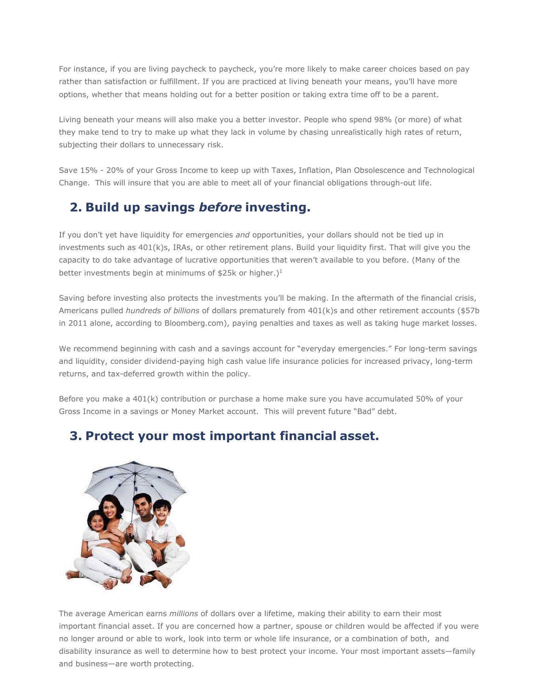For instance, if you are living paycheck to paycheck, you're more likely to make career choices based on pay rather than satisfaction or fulfillment. If you are practiced at living beneath your means, you'll have more options, whether that means holding out for a better position or taking extra time off to be a parent.

Living beneath your means will also make you a better investor. People who spend 98% (or more) of what they make tend to try to make up what they lack in volume by chasing unrealistically high rates of return, subjecting their dollars to unnecessary risk.

Save 15% - 20% of your Gross Income to keep up with Taxes, Inflation, Plan Obsolescence and Technological Change. This will insure that you are able to meet all of your financial obligations through-out life.

## **2. Build up savings** *before* **investing.**

If you don't yet have liquidity for emergencies *and* opportunities, your dollars should not be tied up in investments such as 401(k)s, IRAs, or other retirement plans. Build your liquidity first. That will give you the capacity to do take advantage of lucrative opportunities that weren't available to you before. (Many of the better investments begin at minimums of \$25k or higher.)<sup>1</sup>

Saving before investing also protects the investments you'll be making. In the aftermath of the financial crisis, Americans pulled *hundreds of billions* of dollars prematurely from 401(k)s and other retirement accounts (\$57b in 2011 alone, according to Bloomberg.com), paying penalties and taxes as well as taking huge market losses.

We recommend beginning with cash and a savings account for "everyday emergencies." For long-term savings and liquidity, consider dividend-paying high cash value life insurance policies for increased privacy, long-term returns, and tax-deferred growth within the policy.

Before you make a 401(k) contribution or purchase a home make sure you have accumulated 50% of your Gross Income in a savings or Money Market account. This will prevent future "Bad" debt.

# **3. Protect your most important financial asset.**



The average American earns *millions* of dollars over a lifetime, making their ability to earn their most important financial asset. If you are concerned how a partner, spouse or children would be affected if you were no longer around or able to work, look into term or whole life insurance, or a combination of both, and disability insurance as well to determine how to best protect your income. Your most important assets—family and business—are worth protecting.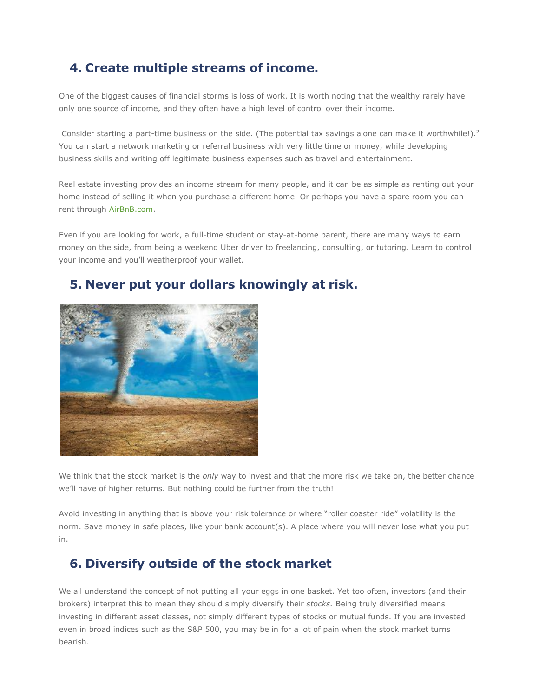### **4. Create multiple streams of income.**

One of the biggest causes of financial storms is loss of work. It is worth noting that the wealthy rarely have only one source of income, and they often have a high level of control over their income.

Consider starting a part-time business on the side. (The potential tax savings alone can make it worthwhile!).<sup>2</sup> You can start a network marketing or referral business with very little time or money, while developing business skills and writing off legitimate business expenses such as travel and entertainment.

Real estate investing provides an income stream for many people, and it can be as simple as renting out your home instead of selling it when you purchase a different home. Or perhaps you have a spare room you can rent through AirBnB.com.

Even if you are looking for work, a full-time student or stay-at-home parent, there are many ways to earn money on the side, from being a weekend Uber driver to freelancing, consulting, or tutoring. Learn to control your income and you'll weatherproof your wallet.

#### **5. Never put your dollars knowingly at risk.**



We think that the stock market is the *only* way to invest and that the more risk we take on, the better chance we'll have of higher returns. But nothing could be further from the truth!

Avoid investing in anything that is above your risk tolerance or where "roller coaster ride" volatility is the norm. Save money in safe places, like your bank account(s). A place where you will never lose what you put in.

### **6. Diversify outside of the stock market**

We all understand the concept of not putting all your eggs in one basket. Yet too often, investors (and their brokers) interpret this to mean they should simply diversify their *stocks.* Being truly diversified means investing in different asset classes, not simply different types of stocks or mutual funds. If you are invested even in broad indices such as the S&P 500, you may be in for a lot of pain when the stock market turns bearish.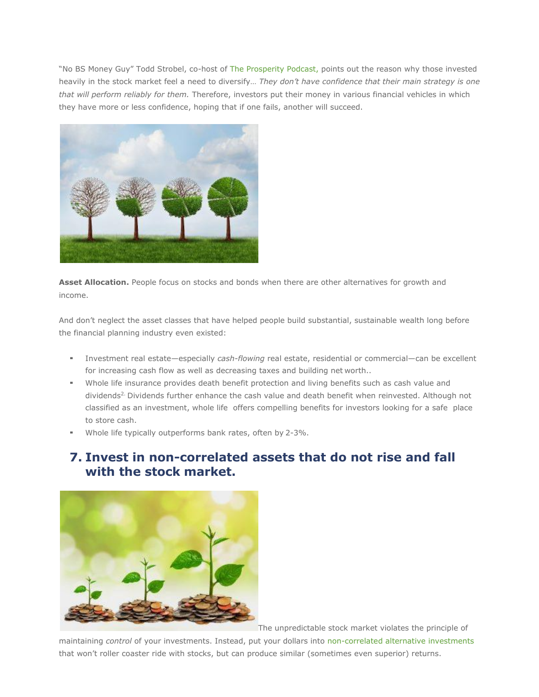"No BS Money Guy" Todd Strobel, co-host of [The Prosperity Podcast, p](https://itunes.apple.com/us/podcast/the-prosperity-podcast/id984573317?mt=2)oints out the reason why those invested heavily in the stock market feel a need to diversify… *They don't have confidence that their main strategy is one that will perform reliably for them.* Therefore, investors put their money in various financial vehicles in which they have more or less confidence, hoping that if one fails, another will succeed.



**Asset Allocation.** People focus on stocks and bonds when there are other alternatives for growth and income.

And don't neglect the asset classes that have helped people build substantial, sustainable wealth long before the financial planning industry even existed:

- Investment real estate—especially *cash-flowing* real estate, residential or commercial—can be excellent for increasing cash flow as well as decreasing taxes and building net worth..
- Whole life insurance provides death benefit protection and living benefits such as cash value and dividends<sup>2.</sup> Dividends further enhance the cash value and death benefit when reinvested. Although not classified as an investment, whole life offers compelling benefits for investors looking for a safe place to store cash.
- Whole life typically outperforms bank rates, often by 2-3%.

#### **7. Invest in non-correlated assets that do not rise and fall with the stock market.**



The unpredictable stock market violates the principle of

maintaining *control* of your investments. Instead, put your dollars into non-correlated alternative investments that won't roller coaster ride with stocks, but can produce similar (sometimes even superior) returns.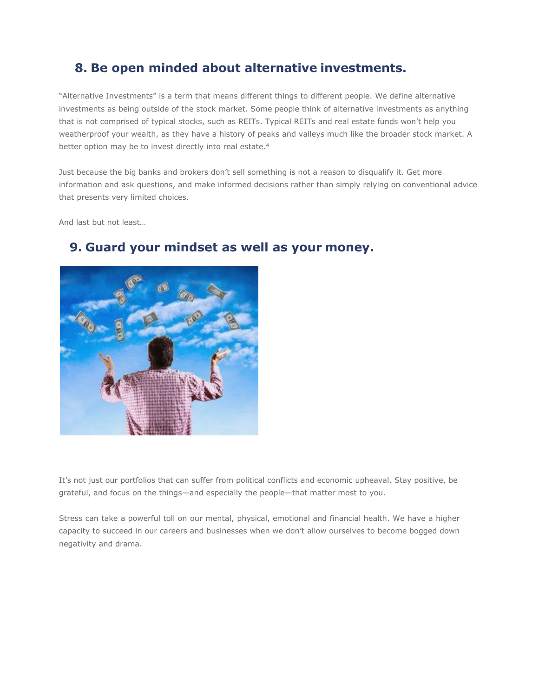#### **8. Be open minded about alternative investments.**

"Alternative Investments" is a term that means different things to different people. We define alternative investments as being outside of the stock market. Some people think of alternative investments as anything that is not comprised of typical stocks, such as REITs. Typical REITs and real estate funds won't help you weatherproof your wealth, as they have a history of peaks and valleys much like the broader stock market. A better option may be to invest directly into real estate.<sup>4</sup>

Just because the big banks and brokers don't sell something is not a reason to disqualify it. Get more information and ask questions, and make informed decisions rather than simply relying on conventional advice that presents very limited choices.

And last but not least…



#### **9. Guard your mindset as well as your money.**

It's not just our portfolios that can suffer from political conflicts and economic upheaval. Stay positive, be grateful, and focus on the things—and especially the people—that matter most to you.

Stress can take a powerful toll on our mental, physical, emotional and financial health. We have a higher capacity to succeed in our careers and businesses when we don't allow ourselves to become bogged down negativity and drama.